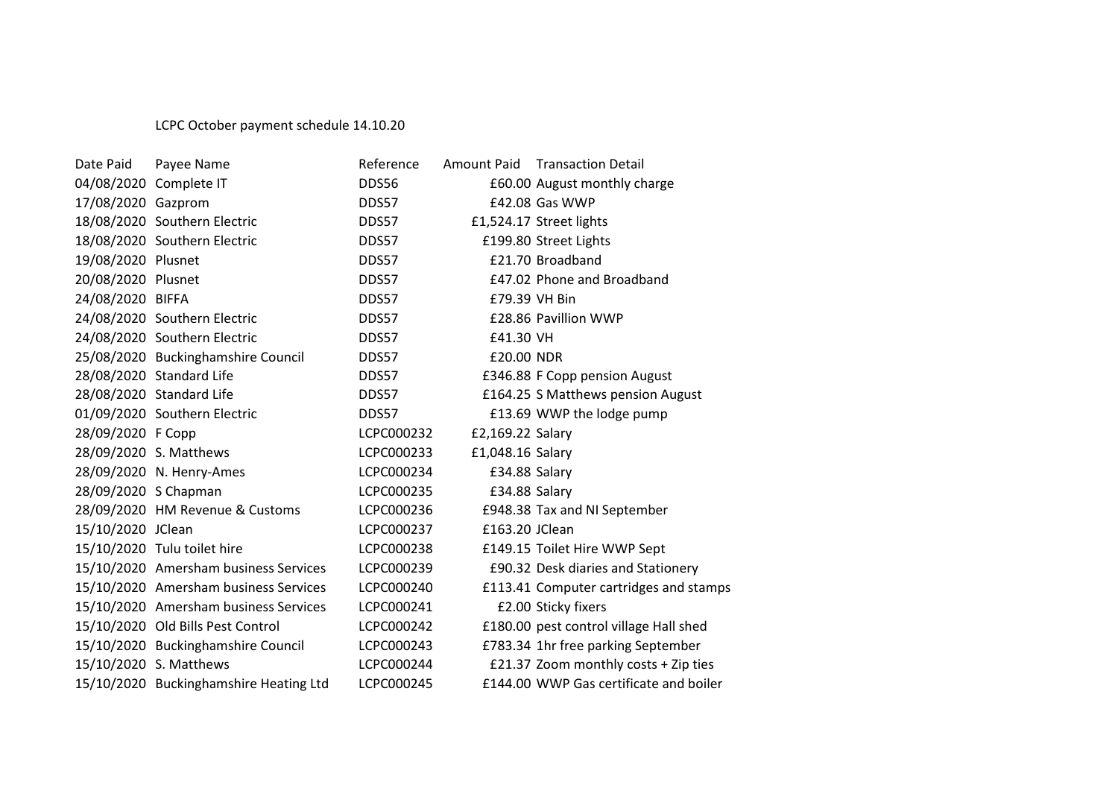## LCPC October payment schedule 14.10.20

| Date Paid            | Payee Name                             | Reference  |                  | Amount Paid Transaction Detail         |
|----------------------|----------------------------------------|------------|------------------|----------------------------------------|
|                      | 04/08/2020 Complete IT                 | DDS56      |                  | £60.00 August monthly charge           |
| 17/08/2020 Gazprom   |                                        | DDS57      |                  | £42.08 Gas WWP                         |
|                      | 18/08/2020 Southern Electric           | DDS57      |                  | £1,524.17 Street lights                |
|                      | 18/08/2020 Southern Electric           | DDS57      |                  | £199.80 Street Lights                  |
| 19/08/2020 Plusnet   |                                        | DDS57      |                  | £21.70 Broadband                       |
| 20/08/2020 Plusnet   |                                        | DDS57      |                  | £47.02 Phone and Broadband             |
| 24/08/2020 BIFFA     |                                        | DDS57      | £79.39 VH Bin    |                                        |
|                      | 24/08/2020 Southern Electric           | DDS57      |                  | £28.86 Pavillion WWP                   |
|                      | 24/08/2020 Southern Electric           | DDS57      | £41.30 VH        |                                        |
|                      | 25/08/2020 Buckinghamshire Council     | DDS57      | £20.00 NDR       |                                        |
|                      | 28/08/2020 Standard Life               | DDS57      |                  | £346.88 F Copp pension August          |
|                      | 28/08/2020 Standard Life               | DDS57      |                  | £164.25 S Matthews pension August      |
|                      | 01/09/2020 Southern Electric           | DDS57      |                  | £13.69 WWP the lodge pump              |
| 28/09/2020 F Copp    |                                        | LCPC000232 | £2,169.22 Salary |                                        |
|                      | 28/09/2020 S. Matthews                 | LCPC000233 | £1,048.16 Salary |                                        |
|                      | 28/09/2020 N. Henry-Ames               | LCPC000234 | £34.88 Salary    |                                        |
| 28/09/2020 S Chapman |                                        | LCPC000235 | £34.88 Salary    |                                        |
|                      | 28/09/2020 HM Revenue & Customs        | LCPC000236 |                  | £948.38 Tax and NI September           |
| 15/10/2020 JClean    |                                        | LCPC000237 | £163.20 JClean   |                                        |
|                      | 15/10/2020 Tulu toilet hire            | LCPC000238 |                  | £149.15 Toilet Hire WWP Sept           |
|                      | 15/10/2020 Amersham business Services  | LCPC000239 |                  | £90.32 Desk diaries and Stationery     |
|                      | 15/10/2020 Amersham business Services  | LCPC000240 |                  | £113.41 Computer cartridges and stamps |
|                      | 15/10/2020 Amersham business Services  | LCPC000241 |                  | £2.00 Sticky fixers                    |
|                      | 15/10/2020 Old Bills Pest Control      | LCPC000242 |                  | £180.00 pest control village Hall shed |
|                      | 15/10/2020 Buckinghamshire Council     | LCPC000243 |                  | £783.34 1hr free parking September     |
|                      | 15/10/2020 S. Matthews                 | LCPC000244 |                  | £21.37 Zoom monthly costs + Zip ties   |
|                      | 15/10/2020 Buckinghamshire Heating Ltd | LCPC000245 |                  | £144.00 WWP Gas certificate and boiler |
|                      |                                        |            |                  |                                        |